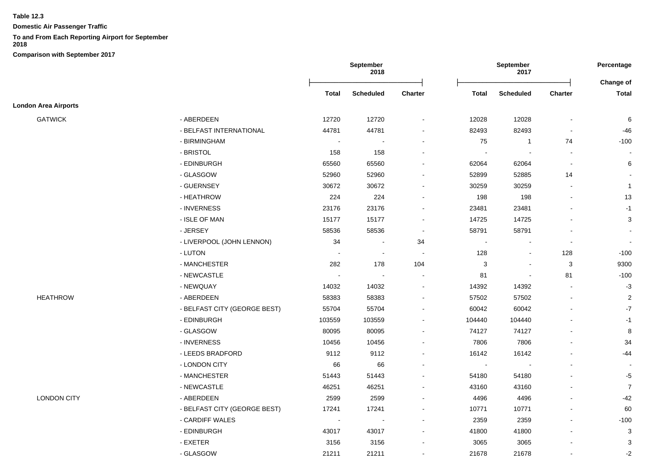**Domestic Air Passenger Traffic**

# **To and From Each Reporting Airport for September**

|                             |                              |                          | September<br>2018        |                          |                | September<br>2017        |                | Percentage     |  |
|-----------------------------|------------------------------|--------------------------|--------------------------|--------------------------|----------------|--------------------------|----------------|----------------|--|
|                             |                              |                          |                          |                          |                |                          |                | Change of      |  |
|                             |                              | Total                    | <b>Scheduled</b>         | <b>Charter</b>           | Total          | <b>Scheduled</b>         | <b>Charter</b> | <b>Total</b>   |  |
| <b>London Area Airports</b> |                              |                          |                          |                          |                |                          |                |                |  |
| <b>GATWICK</b>              | - ABERDEEN                   | 12720                    | 12720                    | $\overline{a}$           | 12028          | 12028                    | $\blacksquare$ | 6              |  |
|                             | - BELFAST INTERNATIONAL      | 44781                    | 44781                    |                          | 82493          | 82493                    | $\blacksquare$ | -46            |  |
|                             | - BIRMINGHAM                 | $\blacksquare$           |                          |                          | 75             | $\overline{1}$           | 74             | $-100$         |  |
|                             | - BRISTOL                    | 158                      | 158                      |                          | $\overline{a}$ | $\overline{\phantom{a}}$ | $\blacksquare$ |                |  |
|                             | - EDINBURGH                  | 65560                    | 65560                    | $\overline{\phantom{a}}$ | 62064          | 62064                    | $\sim$         | 6              |  |
|                             | - GLASGOW                    | 52960                    | 52960                    | $\overline{\phantom{a}}$ | 52899          | 52885                    | 14             |                |  |
|                             | - GUERNSEY                   | 30672                    | 30672                    | $\overline{\phantom{a}}$ | 30259          | 30259                    | $\blacksquare$ | $\overline{1}$ |  |
|                             | - HEATHROW                   | 224                      | 224                      | $\blacksquare$           | 198            | 198                      | $\blacksquare$ | 13             |  |
|                             | - INVERNESS                  | 23176                    | 23176                    | $\overline{a}$           | 23481          | 23481                    |                | $-1$           |  |
|                             | - ISLE OF MAN                | 15177                    | 15177                    | $\blacksquare$           | 14725          | 14725                    |                | 3              |  |
|                             | - JERSEY                     | 58536                    | 58536                    | $\sim$                   | 58791          | 58791                    |                |                |  |
|                             | - LIVERPOOL (JOHN LENNON)    | 34                       | $\overline{\phantom{a}}$ | 34                       | $\overline{a}$ |                          |                |                |  |
|                             | - LUTON                      | $\blacksquare$           | $\overline{\phantom{a}}$ | $\overline{\phantom{a}}$ | 128            | $\blacksquare$           | 128            | $-100$         |  |
|                             | - MANCHESTER                 | 282                      | 178                      | 104                      | 3              | $\blacksquare$           | 3              | 9300           |  |
|                             | - NEWCASTLE                  | $\overline{\phantom{a}}$ |                          | $\overline{\phantom{a}}$ | 81             | $\blacksquare$           | 81             | $-100$         |  |
|                             | - NEWQUAY                    | 14032                    | 14032                    | $\overline{a}$           | 14392          | 14392                    | $\sim$         | $-3$           |  |
| <b>HEATHROW</b>             | - ABERDEEN                   | 58383                    | 58383                    | $\overline{a}$           | 57502          | 57502                    | $\sim$         | $\overline{2}$ |  |
|                             | - BELFAST CITY (GEORGE BEST) | 55704                    | 55704                    | $\overline{\phantom{a}}$ | 60042          | 60042                    |                | $-7$           |  |
|                             | - EDINBURGH                  | 103559                   | 103559                   | $\blacksquare$           | 104440         | 104440                   |                | $-1$           |  |
|                             | - GLASGOW                    | 80095                    | 80095                    | $\blacksquare$           | 74127          | 74127                    |                | 8              |  |
|                             | - INVERNESS                  | 10456                    | 10456                    |                          | 7806           | 7806                     |                | 34             |  |
|                             | - LEEDS BRADFORD             | 9112                     | 9112                     | $\blacksquare$           | 16142          | 16142                    |                | -44            |  |
|                             | - LONDON CITY                | 66                       | 66                       |                          | $\sim$         | $\overline{\phantom{a}}$ |                | $\sim$         |  |
|                             | - MANCHESTER                 | 51443                    | 51443                    |                          | 54180          | 54180                    |                | $-5$           |  |
|                             | - NEWCASTLE                  | 46251                    | 46251                    |                          | 43160          | 43160                    |                | $\overline{7}$ |  |
| <b>LONDON CITY</b>          | - ABERDEEN                   | 2599                     | 2599                     | $\blacksquare$           | 4496           | 4496                     |                | -42            |  |
|                             | - BELFAST CITY (GEORGE BEST) | 17241                    | 17241                    | $\overline{a}$           | 10771          | 10771                    |                | 60             |  |
|                             | - CARDIFF WALES              | $\sim$                   |                          | $\overline{a}$           | 2359           | 2359                     |                | $-100$         |  |
|                             | - EDINBURGH                  | 43017                    | 43017                    | $\overline{a}$           | 41800          | 41800                    |                | 3              |  |
|                             | - EXETER                     | 3156                     | 3156                     |                          | 3065           | 3065                     |                | 3              |  |
|                             | - GLASGOW                    | 21211                    | 21211                    | $\blacksquare$           | 21678          | 21678                    |                | $-2$           |  |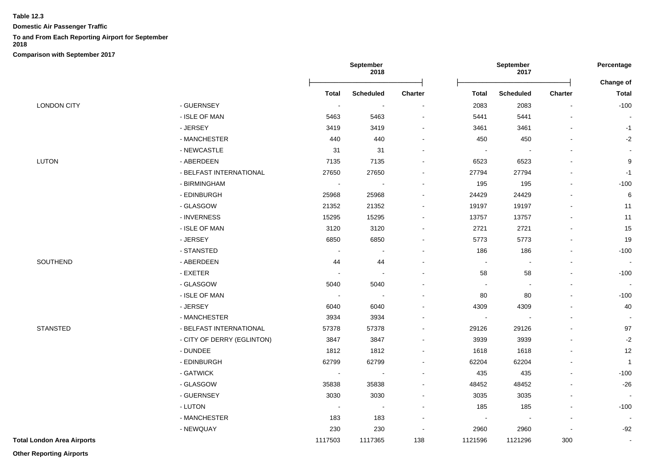**Domestic Air Passenger Traffic**

#### **To and From Each Reporting Airport for September**

**2018**

**Comparison with September 2017**

|                                   |                            |                          | September<br>2018 |         |                | September<br>2017 |         | Percentage                |
|-----------------------------------|----------------------------|--------------------------|-------------------|---------|----------------|-------------------|---------|---------------------------|
|                                   |                            | <b>Total</b>             | <b>Scheduled</b>  | Charter | Total          | <b>Scheduled</b>  | Charter | Change of<br><b>Total</b> |
| <b>LONDON CITY</b>                | - GUERNSEY                 |                          | $\sim$            | $\sim$  | 2083           | 2083              |         | $-100$                    |
|                                   | - ISLE OF MAN              | 5463                     | 5463              |         | 5441           | 5441              |         |                           |
|                                   | - JERSEY                   | 3419                     | 3419              |         | 3461           | 3461              |         | $-1$                      |
|                                   | - MANCHESTER               | 440                      | 440               |         | 450            | 450               |         | $-2$                      |
|                                   | - NEWCASTLE                | 31                       | 31                |         | $\sim$         |                   |         |                           |
| LUTON                             | - ABERDEEN                 | 7135                     | 7135              |         | 6523           | 6523              |         | $\boldsymbol{9}$          |
|                                   | - BELFAST INTERNATIONAL    | 27650                    | 27650             |         | 27794          | 27794             |         | $-1$                      |
|                                   | - BIRMINGHAM               | $\blacksquare$           | $\sim$            |         | 195            | 195               |         | $-100$                    |
|                                   | - EDINBURGH                | 25968                    | 25968             |         | 24429          | 24429             |         | 6                         |
|                                   | - GLASGOW                  | 21352                    | 21352             |         | 19197          | 19197             |         | 11                        |
|                                   | - INVERNESS                | 15295                    | 15295             |         | 13757          | 13757             |         | 11                        |
|                                   | - ISLE OF MAN              | 3120                     | 3120              |         | 2721           | 2721              |         | 15                        |
|                                   | - JERSEY                   | 6850                     | 6850              |         | 5773           | 5773              |         | 19                        |
|                                   | - STANSTED                 | $\blacksquare$           | $\blacksquare$    |         | 186            | 186               |         | $-100$                    |
| SOUTHEND                          | - ABERDEEN                 | 44                       | 44                |         | $\blacksquare$ |                   |         | $\sim$                    |
|                                   | - EXETER                   |                          |                   |         | 58             | 58                |         | $-100$                    |
|                                   | - GLASGOW                  | 5040                     | 5040              |         | $\blacksquare$ |                   |         |                           |
|                                   | - ISLE OF MAN              | $\overline{\phantom{a}}$ | $\sim$            |         | 80             | 80                |         | $-100$                    |
|                                   | - JERSEY                   | 6040                     | 6040              |         | 4309           | 4309              |         | 40                        |
|                                   | - MANCHESTER               | 3934                     | 3934              |         | $\sim$         | $\sim$            |         |                           |
| <b>STANSTED</b>                   | - BELFAST INTERNATIONAL    | 57378                    | 57378             |         | 29126          | 29126             |         | 97                        |
|                                   | - CITY OF DERRY (EGLINTON) | 3847                     | 3847              |         | 3939           | 3939              |         | $-2$                      |
|                                   | - DUNDEE                   | 1812                     | 1812              |         | 1618           | 1618              |         | 12                        |
|                                   | - EDINBURGH                | 62799                    | 62799             |         | 62204          | 62204             |         | $\overline{1}$            |
|                                   | - GATWICK                  | $\blacksquare$           | $\sim$            |         | 435            | 435               |         | $-100$                    |
|                                   | - GLASGOW                  | 35838                    | 35838             |         | 48452          | 48452             |         | $-26$                     |
|                                   | - GUERNSEY                 | 3030                     | 3030              |         | 3035           | 3035              |         |                           |
|                                   | - LUTON                    | $\overline{\phantom{a}}$ | $\sim$            |         | 185            | 185               |         | $-100$                    |
|                                   | - MANCHESTER               | 183                      | 183               |         | $\blacksquare$ |                   |         |                           |
|                                   | - NEWQUAY                  | 230                      | 230               |         | 2960           | 2960              |         | $-92$                     |
| <b>Total London Area Airports</b> |                            | 1117503                  | 1117365           | 138     | 1121596        | 1121296           | 300     | $\blacksquare$            |

**Other Reporting Airports**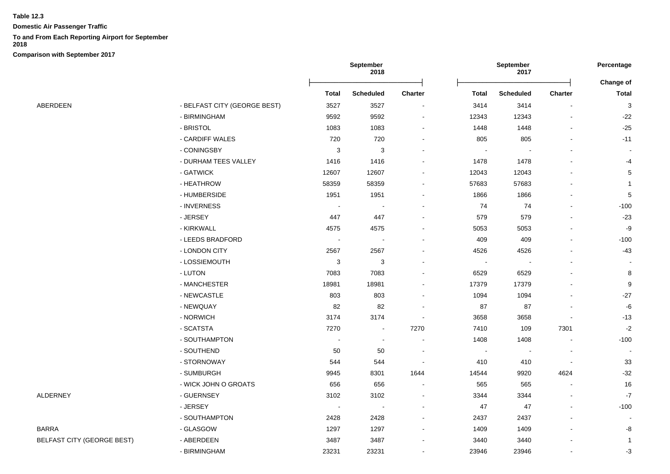**Domestic Air Passenger Traffic**

### **To and From Each Reporting Airport for September**

**2018**

**Comparison with September 2017**

|                                   |                              |                | <b>September</b><br>2018 |                |                | September<br>2017 |         | Percentage<br>Change of |
|-----------------------------------|------------------------------|----------------|--------------------------|----------------|----------------|-------------------|---------|-------------------------|
|                                   |                              | Total          | <b>Scheduled</b>         | Charter        | Total          | <b>Scheduled</b>  | Charter | <b>Total</b>            |
| ABERDEEN                          | - BELFAST CITY (GEORGE BEST) | 3527           | 3527                     | $\blacksquare$ | 3414           | 3414              |         | 3                       |
|                                   | - BIRMINGHAM                 | 9592           | 9592                     | $\blacksquare$ | 12343          | 12343             |         | $-22$                   |
|                                   | - BRISTOL                    | 1083           | 1083                     | $\blacksquare$ | 1448           | 1448              |         | $-25$                   |
|                                   | - CARDIFF WALES              | 720            | 720                      | ۰              | 805            | 805               |         | $-11$                   |
|                                   | - CONINGSBY                  | $\sqrt{3}$     | 3                        | $\blacksquare$ |                |                   |         |                         |
|                                   | - DURHAM TEES VALLEY         | 1416           | 1416                     | $\blacksquare$ | 1478           | 1478              |         | $-4$                    |
|                                   | - GATWICK                    | 12607          | 12607                    |                | 12043          | 12043             |         | 5                       |
|                                   | - HEATHROW                   | 58359          | 58359                    |                | 57683          | 57683             |         | $\mathbf{1}$            |
|                                   | - HUMBERSIDE                 | 1951           | 1951                     |                | 1866           | 1866              |         | 5                       |
|                                   | - INVERNESS                  |                | <b>.</b>                 |                | 74             | 74                |         | $-100$                  |
|                                   | - JERSEY                     | 447            | 447                      |                | 579            | 579               |         | $-23$                   |
|                                   | - KIRKWALL                   | 4575           | 4575                     |                | 5053           | 5053              |         | -9                      |
|                                   | - LEEDS BRADFORD             | $\sim$         | $\sim$                   | $\blacksquare$ | 409            | 409               |         | $-100$                  |
|                                   | - LONDON CITY                | 2567           | 2567                     | ۰              | 4526           | 4526              |         | $-43$                   |
|                                   | - LOSSIEMOUTH                | 3              | 3                        |                | $\blacksquare$ |                   |         |                         |
|                                   | - LUTON                      | 7083           | 7083                     |                | 6529           | 6529              |         | 8                       |
|                                   | - MANCHESTER                 | 18981          | 18981                    | $\blacksquare$ | 17379          | 17379             |         | 9                       |
|                                   | - NEWCASTLE                  | 803            | 803                      |                | 1094           | 1094              |         | $-27$                   |
|                                   | - NEWQUAY                    | 82             | 82                       |                | 87             | 87                |         | -6                      |
|                                   | - NORWICH                    | 3174           | 3174                     | $\blacksquare$ | 3658           | 3658              |         | $-13$                   |
|                                   | - SCATSTA                    | 7270           | $\blacksquare$           | 7270           | 7410           | 109               | 7301    | $-2$                    |
|                                   | - SOUTHAMPTON                |                | $\sim$                   | $\blacksquare$ | 1408           | 1408              |         | $-100$                  |
|                                   | - SOUTHEND                   | 50             | 50                       |                |                |                   |         |                         |
|                                   | - STORNOWAY                  | 544            | 544                      |                | 410            | 410               |         | 33                      |
|                                   | - SUMBURGH                   | 9945           | 8301                     | 1644           | 14544          | 9920              | 4624    | $-32$                   |
|                                   | - WICK JOHN O GROATS         | 656            | 656                      | $\blacksquare$ | 565            | 565               |         | 16                      |
| <b>ALDERNEY</b>                   | - GUERNSEY                   | 3102           | 3102                     | $\blacksquare$ | 3344           | 3344              |         | $-7$                    |
|                                   | - JERSEY                     | $\blacksquare$ | $\blacksquare$           | $\blacksquare$ | 47             | 47                |         | $-100$                  |
|                                   | - SOUTHAMPTON                | 2428           | 2428                     | $\blacksquare$ | 2437           | 2437              |         |                         |
| BARRA                             | - GLASGOW                    | 1297           | 1297                     | $\blacksquare$ | 1409           | 1409              |         | -8                      |
| <b>BELFAST CITY (GEORGE BEST)</b> | - ABERDEEN                   | 3487           | 3487                     |                | 3440           | 3440              |         | $\mathbf{1}$            |
|                                   | - BIRMINGHAM                 | 23231          | 23231                    |                | 23946          | 23946             |         | $-3$                    |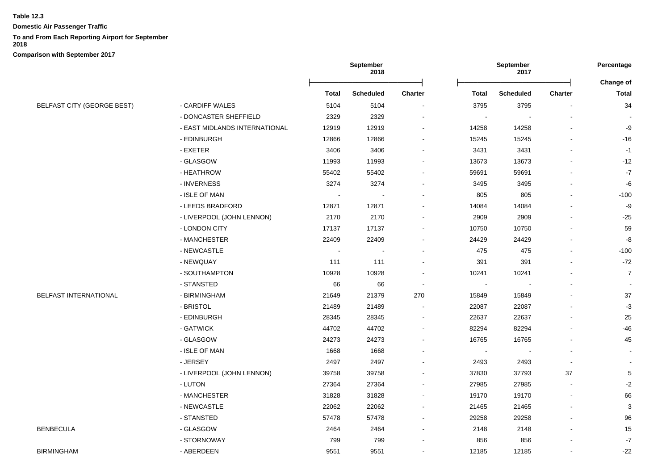**Domestic Air Passenger Traffic**

## **To and From Each Reporting Airport for September**

**2018**

|                                   |                               | September<br>2018        |                  | September<br>2017        |              |                  | Percentage     |                           |
|-----------------------------------|-------------------------------|--------------------------|------------------|--------------------------|--------------|------------------|----------------|---------------------------|
|                                   |                               | <b>Total</b>             | <b>Scheduled</b> | Charter                  | <b>Total</b> | <b>Scheduled</b> | <b>Charter</b> | Change of<br><b>Total</b> |
| <b>BELFAST CITY (GEORGE BEST)</b> | - CARDIFF WALES               | 5104                     | 5104             |                          | 3795         | 3795             |                | 34                        |
|                                   | - DONCASTER SHEFFIELD         | 2329                     | 2329             |                          |              |                  |                |                           |
|                                   | - EAST MIDLANDS INTERNATIONAL | 12919                    | 12919            |                          | 14258        | 14258            |                | -9                        |
|                                   | - EDINBURGH                   | 12866                    | 12866            |                          | 15245        | 15245            |                | $-16$                     |
|                                   | - EXETER                      | 3406                     | 3406             |                          | 3431         | 3431             |                | $-1$                      |
|                                   | - GLASGOW                     | 11993                    | 11993            |                          | 13673        | 13673            |                | $-12$                     |
|                                   | - HEATHROW                    | 55402                    | 55402            |                          | 59691        | 59691            |                | $-7$                      |
|                                   | - INVERNESS                   | 3274                     | 3274             |                          | 3495         | 3495             |                | $-6$                      |
|                                   | - ISLE OF MAN                 |                          |                  |                          | 805          | 805              |                | $-100$                    |
|                                   | - LEEDS BRADFORD              | 12871                    | 12871            |                          | 14084        | 14084            |                | $-9$                      |
|                                   | - LIVERPOOL (JOHN LENNON)     | 2170                     | 2170             |                          | 2909         | 2909             |                | $-25$                     |
|                                   | - LONDON CITY                 | 17137                    | 17137            |                          | 10750        | 10750            |                | 59                        |
|                                   | - MANCHESTER                  | 22409                    | 22409            |                          | 24429        | 24429            |                | -8                        |
|                                   | - NEWCASTLE                   | $\overline{\phantom{a}}$ |                  |                          | 475          | 475              |                | $-100$                    |
|                                   | - NEWQUAY                     | 111                      | 111              |                          | 391          | 391              |                | $-72$                     |
|                                   | - SOUTHAMPTON                 | 10928                    | 10928            |                          | 10241        | 10241            |                | $\overline{7}$            |
|                                   | - STANSTED                    | 66                       | 66               | $\overline{\phantom{a}}$ |              |                  |                |                           |
| <b>BELFAST INTERNATIONAL</b>      | - BIRMINGHAM                  | 21649                    | 21379            | 270                      | 15849        | 15849            |                | 37                        |
|                                   | - BRISTOL                     | 21489                    | 21489            |                          | 22087        | 22087            |                | $-3$                      |
|                                   | - EDINBURGH                   | 28345                    | 28345            |                          | 22637        | 22637            |                | 25                        |
|                                   | - GATWICK                     | 44702                    | 44702            |                          | 82294        | 82294            |                | $-46$                     |
|                                   | - GLASGOW                     | 24273                    | 24273            |                          | 16765        | 16765            |                | 45                        |
|                                   | - ISLE OF MAN                 | 1668                     | 1668             |                          |              |                  |                |                           |
|                                   | - JERSEY                      | 2497                     | 2497             |                          | 2493         | 2493             |                |                           |
|                                   | - LIVERPOOL (JOHN LENNON)     | 39758                    | 39758            |                          | 37830        | 37793            | 37             | $\sqrt{5}$                |
|                                   | - LUTON                       | 27364                    | 27364            |                          | 27985        | 27985            |                | $-2$                      |
|                                   | - MANCHESTER                  | 31828                    | 31828            |                          | 19170        | 19170            |                | 66                        |
|                                   | - NEWCASTLE                   | 22062                    | 22062            |                          | 21465        | 21465            |                | 3                         |
|                                   | - STANSTED                    | 57478                    | 57478            |                          | 29258        | 29258            |                | 96                        |
| <b>BENBECULA</b>                  | - GLASGOW                     | 2464                     | 2464             |                          | 2148         | 2148             | $\overline{a}$ | 15                        |
|                                   | - STORNOWAY                   | 799                      | 799              |                          | 856          | 856              |                | $\textnormal{-}7$         |
| <b>BIRMINGHAM</b>                 | - ABERDEEN                    | 9551                     | 9551             |                          | 12185        | 12185            |                | $-22$                     |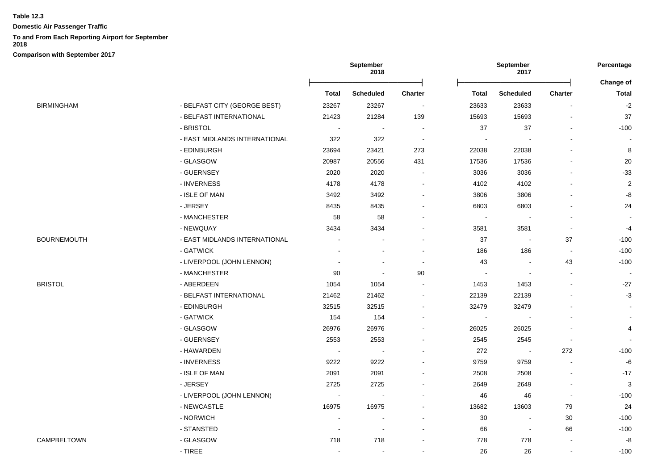**Domestic Air Passenger Traffic**

# **To and From Each Reporting Airport for September**

**2018**

|             |                               | September<br>September<br>2018<br>2017 |                          | Percentage               |                          |                          |                          |                |
|-------------|-------------------------------|----------------------------------------|--------------------------|--------------------------|--------------------------|--------------------------|--------------------------|----------------|
|             |                               |                                        |                          |                          |                          |                          |                          | Change of      |
|             |                               | <b>Total</b>                           | <b>Scheduled</b>         | Charter                  | <b>Total</b>             | <b>Scheduled</b>         | <b>Charter</b>           | <b>Total</b>   |
| BIRMINGHAM  | - BELFAST CITY (GEORGE BEST)  | 23267                                  | 23267                    | $\overline{\phantom{a}}$ | 23633                    | 23633                    |                          | $-2$           |
|             | - BELFAST INTERNATIONAL       | 21423                                  | 21284                    | 139                      | 15693                    | 15693                    | $\blacksquare$           | 37             |
|             | - BRISTOL                     | $\blacksquare$                         |                          |                          | 37                       | 37                       |                          | $-100$         |
|             | - EAST MIDLANDS INTERNATIONAL | 322                                    | 322                      | $\sim$                   |                          |                          |                          |                |
|             | - EDINBURGH                   | 23694                                  | 23421                    | 273                      | 22038                    | 22038                    |                          | 8              |
|             | - GLASGOW                     | 20987                                  | 20556                    | 431                      | 17536                    | 17536                    |                          | 20             |
|             | - GUERNSEY                    | 2020                                   | 2020                     |                          | 3036                     | 3036                     |                          | $-33$          |
|             | - INVERNESS                   | 4178                                   | 4178                     |                          | 4102                     | 4102                     |                          | $\overline{2}$ |
|             | - ISLE OF MAN                 | 3492                                   | 3492                     |                          | 3806                     | 3806                     |                          | -8             |
|             | - JERSEY                      | 8435                                   | 8435                     |                          | 6803                     | 6803                     |                          | 24             |
|             | - MANCHESTER                  | 58                                     | 58                       |                          | $\overline{\phantom{a}}$ |                          |                          |                |
|             | - NEWQUAY                     | 3434                                   | 3434                     |                          | 3581                     | 3581                     | $\blacksquare$           | $-4$           |
| BOURNEMOUTH | - EAST MIDLANDS INTERNATIONAL |                                        |                          | $\blacksquare$           | 37                       | $\overline{\phantom{a}}$ | 37                       | $-100$         |
|             | - GATWICK                     |                                        |                          |                          | 186                      | 186                      | $\overline{\phantom{a}}$ | $-100$         |
|             | - LIVERPOOL (JOHN LENNON)     |                                        |                          |                          | 43                       | $\sim$                   | 43                       | $-100$         |
|             | - MANCHESTER                  | 90                                     | $\overline{\phantom{a}}$ | 90                       |                          | $\overline{\phantom{a}}$ |                          |                |
| BRISTOL     | - ABERDEEN                    | 1054                                   | 1054                     |                          | 1453                     | 1453                     |                          | $-27$          |
|             | - BELFAST INTERNATIONAL       | 21462                                  | 21462                    | $\blacksquare$           | 22139                    | 22139                    |                          | $-3$           |
|             | - EDINBURGH                   | 32515                                  | 32515                    |                          | 32479                    | 32479                    |                          |                |
|             | - GATWICK                     | 154                                    | 154                      |                          |                          |                          |                          |                |
|             | - GLASGOW                     | 26976                                  | 26976                    | ۰                        | 26025                    | 26025                    |                          | 4              |
|             | - GUERNSEY                    | 2553                                   | 2553                     |                          | 2545                     | 2545                     | $\sim$                   |                |
|             | - HAWARDEN                    | $\sim$                                 | $\sim$                   |                          | 272                      | $\sim$                   | 272                      | $-100$         |
|             | - INVERNESS                   | 9222                                   | 9222                     |                          | 9759                     | 9759                     | $\overline{a}$           | $-6$           |
|             | - ISLE OF MAN                 | 2091                                   | 2091                     |                          | 2508                     | 2508                     |                          | $-17$          |
|             | - JERSEY                      | 2725                                   | 2725                     |                          | 2649                     | 2649                     |                          | 3              |
|             | - LIVERPOOL (JOHN LENNON)     | $\sim$                                 |                          |                          | 46                       | 46                       | $\blacksquare$           | $-100$         |
|             | - NEWCASTLE                   | 16975                                  | 16975                    |                          | 13682                    | 13603                    | 79                       | 24             |
|             | - NORWICH                     |                                        |                          |                          | 30                       | $\blacksquare$           | 30                       | $-100$         |
|             | - STANSTED                    | $\overline{\phantom{a}}$               | $\overline{\phantom{a}}$ | $\blacksquare$           | 66                       | $\blacksquare$           | 66                       | $-100$         |
| CAMPBELTOWN | - GLASGOW                     | 718                                    | 718                      |                          | 778                      | 778                      |                          | -8             |
|             | - TIREE                       | $\overline{a}$                         | $\overline{a}$           | ÷.                       | 26                       | 26                       | $\sim$                   | $-100$         |
|             |                               |                                        |                          |                          |                          |                          |                          |                |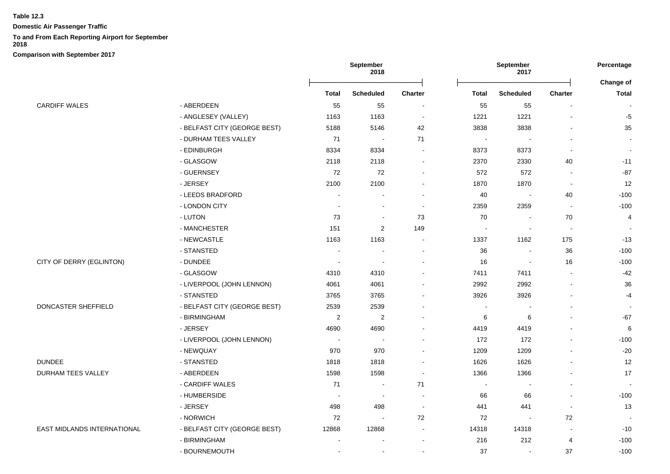**Domestic Air Passenger Traffic**

#### **To and From Each Reporting Airport for September**

**2018**

|                             |                              |                          | September<br>2018        | September<br>2017 |                | Percentage               |                |                           |
|-----------------------------|------------------------------|--------------------------|--------------------------|-------------------|----------------|--------------------------|----------------|---------------------------|
|                             |                              | <b>Total</b>             | <b>Scheduled</b>         | <b>Charter</b>    | <b>Total</b>   | <b>Scheduled</b>         | <b>Charter</b> | Change of<br><b>Total</b> |
| <b>CARDIFF WALES</b>        | - ABERDEEN                   | 55                       | 55                       | $\blacksquare$    | 55             | 55                       |                |                           |
|                             | - ANGLESEY (VALLEY)          | 1163                     | 1163                     |                   | 1221           | 1221                     |                | $-5$                      |
|                             | - BELFAST CITY (GEORGE BEST) | 5188                     | 5146                     | 42                | 3838           | 3838                     |                | 35                        |
|                             | - DURHAM TEES VALLEY         | 71                       | $\sim$                   | 71                | $\blacksquare$ |                          |                |                           |
|                             | - EDINBURGH                  | 8334                     | 8334                     | $\sim$            | 8373           | 8373                     |                | $\blacksquare$            |
|                             | - GLASGOW                    | 2118                     | 2118                     |                   | 2370           | 2330                     | 40             | $-11$                     |
|                             | - GUERNSEY                   | 72                       | 72                       |                   | 572            | 572                      |                | $-87$                     |
|                             | - JERSEY                     | 2100                     | 2100                     |                   | 1870           | 1870                     |                | 12                        |
|                             | - LEEDS BRADFORD             |                          |                          |                   | 40             | $\sim$                   | 40             | $-100$                    |
|                             | - LONDON CITY                | $\blacksquare$           | $\overline{\phantom{a}}$ | $\sim$            | 2359           | 2359                     | $\blacksquare$ | $-100$                    |
|                             | - LUTON                      | 73                       | $\blacksquare$           | 73                | 70             | $\overline{\phantom{a}}$ | 70             | $\overline{4}$            |
|                             | - MANCHESTER                 | 151                      | $\overline{c}$           | 149               |                |                          |                |                           |
|                             | - NEWCASTLE                  | 1163                     | 1163                     |                   | 1337           | 1162                     | 175            | $-13$                     |
|                             | - STANSTED                   | $\overline{\phantom{a}}$ | $\sim$                   |                   | 36             | $\sim$                   | 36             | $-100$                    |
| CITY OF DERRY (EGLINTON)    | - DUNDEE                     | $\overline{\phantom{a}}$ | $\overline{\phantom{a}}$ |                   | 16             | $\overline{\phantom{a}}$ | 16             | $-100$                    |
|                             | - GLASGOW                    | 4310                     | 4310                     |                   | 7411           | 7411                     |                | $-42$                     |
|                             | - LIVERPOOL (JOHN LENNON)    | 4061                     | 4061                     |                   | 2992           | 2992                     |                | 36                        |
|                             | - STANSTED                   | 3765                     | 3765                     |                   | 3926           | 3926                     |                | $-4$                      |
| DONCASTER SHEFFIELD         | - BELFAST CITY (GEORGE BEST) | 2539                     | 2539                     |                   |                |                          |                | $\overline{\phantom{a}}$  |
|                             | - BIRMINGHAM                 | $\overline{2}$           | 2                        |                   | 6              | 6                        |                | $-67$                     |
|                             | - JERSEY                     | 4690                     | 4690                     |                   | 4419           | 4419                     |                | $\,6$                     |
|                             | - LIVERPOOL (JOHN LENNON)    | $\sim$                   | $\sim$                   |                   | 172            | 172                      |                | $-100$                    |
|                             | - NEWQUAY                    | 970                      | 970                      |                   | 1209           | 1209                     |                | $-20$                     |
| <b>DUNDEE</b>               | - STANSTED                   | 1818                     | 1818                     |                   | 1626           | 1626                     |                | 12                        |
| <b>DURHAM TEES VALLEY</b>   | - ABERDEEN                   | 1598                     | 1598                     |                   | 1366           | 1366                     |                | 17                        |
|                             | - CARDIFF WALES              | 71                       |                          | 71                |                |                          |                |                           |
|                             | - HUMBERSIDE                 |                          | $\overline{\phantom{a}}$ |                   | 66             | 66                       |                | $-100$                    |
|                             | - JERSEY                     | 498                      | 498                      | $\sim$            | 441            | 441                      |                | 13                        |
|                             | - NORWICH                    | 72                       | $\blacksquare$           | 72                | 72             | $\overline{\phantom{a}}$ | 72             |                           |
| EAST MIDLANDS INTERNATIONAL | - BELFAST CITY (GEORGE BEST) | 12868                    | 12868                    |                   | 14318          | 14318                    |                | $-10$                     |
|                             | - BIRMINGHAM                 |                          |                          |                   | 216            | 212                      | 4              | $-100$                    |
|                             | - BOURNEMOUTH                |                          | $\blacksquare$           |                   | 37             | $\blacksquare$           | 37             | $-100$                    |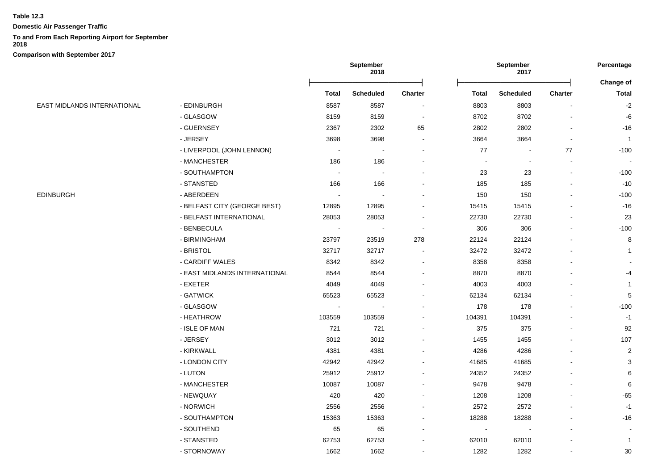**Domestic Air Passenger Traffic**

# **To and From Each Reporting Airport for September**

**2018**

|                             |                               | <b>September</b><br>2018 |                          | September<br>2017        |                          |                          | Percentage               |                           |
|-----------------------------|-------------------------------|--------------------------|--------------------------|--------------------------|--------------------------|--------------------------|--------------------------|---------------------------|
|                             |                               | <b>Total</b>             | <b>Scheduled</b>         | <b>Charter</b>           | <b>Total</b>             | <b>Scheduled</b>         | Charter                  | Change of<br><b>Total</b> |
| EAST MIDLANDS INTERNATIONAL | - EDINBURGH                   | 8587                     | 8587                     |                          | 8803                     | 8803                     |                          | $-2$                      |
|                             | - GLASGOW                     | 8159                     | 8159                     | $\sim$                   | 8702                     | 8702                     |                          | -6                        |
|                             | - GUERNSEY                    | 2367                     | 2302                     | 65                       | 2802                     | 2802                     |                          | $-16$                     |
|                             | - JERSEY                      | 3698                     | 3698                     |                          | 3664                     | 3664                     | $\sim$                   | $\overline{1}$            |
|                             | - LIVERPOOL (JOHN LENNON)     | $\sim$                   | $\blacksquare$           |                          | 77                       | $\sim$                   | 77                       | $-100$                    |
|                             | - MANCHESTER                  | 186                      | 186                      |                          | $\overline{\phantom{a}}$ | $\blacksquare$           | $\overline{\phantom{a}}$ | $\blacksquare$            |
|                             | - SOUTHAMPTON                 | $\sim$                   | $\overline{\phantom{a}}$ |                          | 23                       | 23                       | $\blacksquare$           | $-100$                    |
|                             | - STANSTED                    | 166                      | 166                      |                          | 185                      | 185                      |                          | $-10$                     |
| EDINBURGH                   | - ABERDEEN                    |                          |                          |                          | 150                      | 150                      |                          | $-100$                    |
|                             | - BELFAST CITY (GEORGE BEST)  | 12895                    | 12895                    |                          | 15415                    | 15415                    |                          | $-16$                     |
|                             | - BELFAST INTERNATIONAL       | 28053                    | 28053                    |                          | 22730                    | 22730                    |                          | 23                        |
|                             | - BENBECULA                   |                          |                          | $\overline{\phantom{a}}$ | 306                      | 306                      |                          | $-100$                    |
|                             | - BIRMINGHAM                  | 23797                    | 23519                    | 278                      | 22124                    | 22124                    |                          | 8                         |
|                             | - BRISTOL                     | 32717                    | 32717                    | $\blacksquare$           | 32472                    | 32472                    |                          | 1                         |
|                             | - CARDIFF WALES               | 8342                     | 8342                     | $\blacksquare$           | 8358                     | 8358                     |                          |                           |
|                             | - EAST MIDLANDS INTERNATIONAL | 8544                     | 8544                     | $\blacksquare$           | 8870                     | 8870                     |                          | -4                        |
|                             | - EXETER                      | 4049                     | 4049                     |                          | 4003                     | 4003                     |                          | 1                         |
|                             | - GATWICK                     | 65523                    | 65523                    |                          | 62134                    | 62134                    |                          | $\mathbf 5$               |
|                             | - GLASGOW                     | $\overline{\phantom{a}}$ |                          |                          | 178                      | 178                      |                          | $-100$                    |
|                             | - HEATHROW                    | 103559                   | 103559                   |                          | 104391                   | 104391                   |                          | $-1$                      |
|                             | - ISLE OF MAN                 | 721                      | 721                      |                          | 375                      | 375                      |                          | 92                        |
|                             | - JERSEY                      | 3012                     | 3012                     |                          | 1455                     | 1455                     |                          | 107                       |
|                             | - KIRKWALL                    | 4381                     | 4381                     |                          | 4286                     | 4286                     |                          | $\overline{c}$            |
|                             | - LONDON CITY                 | 42942                    | 42942                    |                          | 41685                    | 41685                    |                          | 3                         |
|                             | - LUTON                       | 25912                    | 25912                    |                          | 24352                    | 24352                    |                          | 6                         |
|                             | - MANCHESTER                  | 10087                    | 10087                    |                          | 9478                     | 9478                     |                          | 6                         |
|                             | - NEWQUAY                     | 420                      | 420                      | $\sim$                   | 1208                     | 1208                     |                          | $-65$                     |
|                             | - NORWICH                     | 2556                     | 2556                     |                          | 2572                     | 2572                     |                          | $-1$                      |
|                             | - SOUTHAMPTON                 | 15363                    | 15363                    |                          | 18288                    | 18288                    |                          | $-16$                     |
|                             | - SOUTHEND                    | 65                       | 65                       | $\sim$                   | $\overline{\phantom{a}}$ | $\overline{\phantom{a}}$ |                          |                           |
|                             | - STANSTED                    | 62753                    | 62753                    |                          | 62010                    | 62010                    |                          | $\mathbf{1}$              |
|                             | - STORNOWAY                   | 1662                     | 1662                     |                          | 1282                     | 1282                     |                          | $30\,$                    |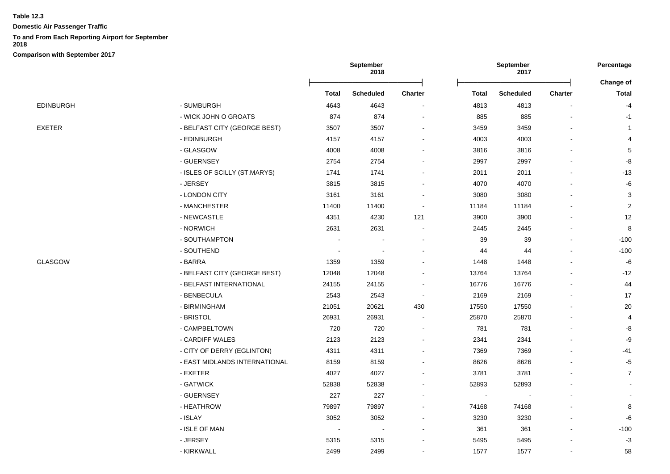**Domestic Air Passenger Traffic**

### **To and From Each Reporting Airport for September**

**2018**

|                                       |                               | September<br>2018        |                  |         | September<br>2017 |                  |                | Percentage     |
|---------------------------------------|-------------------------------|--------------------------|------------------|---------|-------------------|------------------|----------------|----------------|
|                                       |                               |                          |                  |         |                   |                  |                | Change of      |
|                                       |                               | <b>Total</b>             | <b>Scheduled</b> | Charter | Total             | <b>Scheduled</b> | Charter        | <b>Total</b>   |
| EDINBURGH<br>EXETER<br><b>GLASGOW</b> | - SUMBURGH                    | 4643                     | 4643             |         | 4813              | 4813             |                | $-4$           |
|                                       | - WICK JOHN O GROATS          | 874                      | 874              |         | 885               | 885              |                | $-1$           |
|                                       | - BELFAST CITY (GEORGE BEST)  | 3507                     | 3507             |         | 3459              | 3459             |                | $\overline{1}$ |
|                                       | - EDINBURGH                   | 4157                     | 4157             |         | 4003              | 4003             |                | 4              |
|                                       | - GLASGOW                     | 4008                     | 4008             |         | 3816              | 3816             |                | $\,$ 5 $\,$    |
|                                       | - GUERNSEY                    | 2754                     | 2754             |         | 2997              | 2997             |                | $\mbox{-}8$    |
|                                       | - ISLES OF SCILLY (ST.MARYS)  | 1741                     | 1741             |         | 2011              | 2011             |                | $-13$          |
|                                       | - JERSEY                      | 3815                     | 3815             |         | 4070              | 4070             |                | -6             |
|                                       | - LONDON CITY                 | 3161                     | 3161             |         | 3080              | 3080             |                | 3              |
|                                       | - MANCHESTER                  | 11400                    | 11400            |         | 11184             | 11184            |                | 2              |
|                                       | - NEWCASTLE                   | 4351                     | 4230             | 121     | 3900              | 3900             |                | 12             |
|                                       | - NORWICH                     | 2631                     | 2631             |         | 2445              | 2445             |                | 8              |
|                                       | - SOUTHAMPTON                 |                          |                  |         | 39                | 39               |                | $-100$         |
|                                       | - SOUTHEND                    | $\overline{\phantom{a}}$ |                  |         | 44                | 44               |                | $-100$         |
|                                       | - BARRA                       | 1359                     | 1359             |         | 1448              | 1448             |                | $-6$           |
|                                       | - BELFAST CITY (GEORGE BEST)  | 12048                    | 12048            |         | 13764             | 13764            |                | $-12$          |
|                                       | - BELFAST INTERNATIONAL       | 24155                    | 24155            |         | 16776             | 16776            |                | 44             |
|                                       | - BENBECULA                   | 2543                     | 2543             |         | 2169              | 2169             |                | 17             |
|                                       | - BIRMINGHAM                  | 21051                    | 20621            | 430     | 17550             | 17550            |                | 20             |
|                                       | - BRISTOL                     | 26931                    | 26931            |         | 25870             | 25870            |                | $\overline{4}$ |
|                                       | - CAMPBELTOWN                 | 720                      | 720              |         | 781               | 781              |                | -8             |
|                                       | - CARDIFF WALES               | 2123                     | 2123             |         | 2341              | 2341             |                | -9             |
|                                       | - CITY OF DERRY (EGLINTON)    | 4311                     | 4311             |         | 7369              | 7369             |                | -41            |
|                                       | - EAST MIDLANDS INTERNATIONAL | 8159                     | 8159             |         | 8626              | 8626             |                | $-5$           |
|                                       | - EXETER                      | 4027                     | 4027             |         | 3781              | 3781             |                | $\overline{7}$ |
|                                       | - GATWICK                     | 52838                    | 52838            |         | 52893             | 52893            |                |                |
|                                       | - GUERNSEY                    | 227                      | 227              |         |                   |                  |                |                |
|                                       | - HEATHROW                    | 79897                    | 79897            |         | 74168             | 74168            |                | 8              |
|                                       | - ISLAY                       | 3052                     | 3052             |         | 3230              | 3230             |                | -6             |
|                                       | - ISLE OF MAN                 |                          |                  |         | 361               | 361              |                | $-100$         |
|                                       | - JERSEY                      | 5315                     | 5315             |         | 5495              | 5495             |                | $-3$           |
|                                       | - KIRKWALL                    | 2499                     | 2499             |         | 1577              | 1577             | $\blacksquare$ | 58             |
|                                       |                               |                          |                  |         |                   |                  |                |                |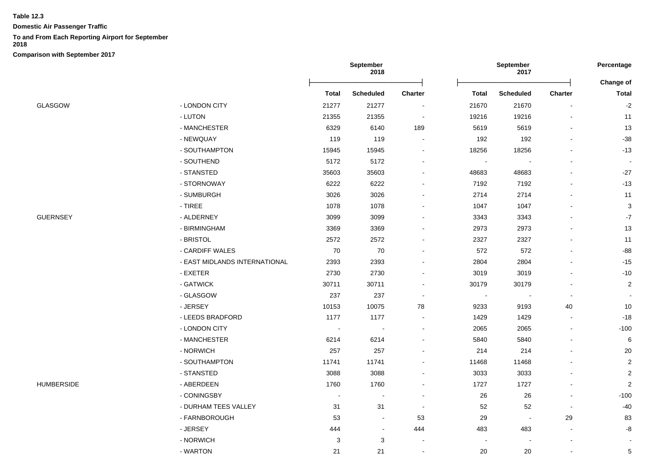**Domestic Air Passenger Traffic**

# **To and From Each Reporting Airport for September**

**2018**

|                 |                               |              | September<br>2018 |                          | September<br>2017        |                  |                          | Percentage                |  |
|-----------------|-------------------------------|--------------|-------------------|--------------------------|--------------------------|------------------|--------------------------|---------------------------|--|
|                 |                               | <b>Total</b> | <b>Scheduled</b>  | <b>Charter</b>           | Total                    | <b>Scheduled</b> | <b>Charter</b>           | Change of<br><b>Total</b> |  |
| GLASGOW         | - LONDON CITY                 | 21277        | 21277             |                          | 21670                    | 21670            |                          | $-2$                      |  |
|                 | - LUTON                       | 21355        | 21355             | $\blacksquare$           | 19216                    | 19216            |                          | 11                        |  |
|                 | - MANCHESTER                  | 6329         | 6140              | 189                      | 5619                     | 5619             | $\blacksquare$           | 13                        |  |
|                 | - NEWQUAY                     | 119          | 119               |                          | 192                      | 192              |                          | $-38$                     |  |
|                 | - SOUTHAMPTON                 | 15945        | 15945             |                          | 18256                    | 18256            |                          | $-13$                     |  |
|                 | - SOUTHEND                    | 5172         | 5172              |                          | $\blacksquare$           | $\blacksquare$   |                          | $\blacksquare$            |  |
|                 | - STANSTED                    | 35603        | 35603             |                          | 48683                    | 48683            | $\blacksquare$           | $-27$                     |  |
|                 | - STORNOWAY                   | 6222         | 6222              |                          | 7192                     | 7192             |                          | $-13$                     |  |
|                 | - SUMBURGH                    | 3026         | 3026              |                          | 2714                     | 2714             |                          | 11                        |  |
|                 | - TIREE                       | 1078         | 1078              |                          | 1047                     | 1047             |                          | 3                         |  |
| <b>GUERNSEY</b> | - ALDERNEY                    | 3099         | 3099              |                          | 3343                     | 3343             |                          | $-7$                      |  |
|                 | - BIRMINGHAM                  | 3369         | 3369              |                          | 2973                     | 2973             |                          | 13                        |  |
|                 | - BRISTOL                     | 2572         | 2572              |                          | 2327                     | 2327             |                          | 11                        |  |
|                 | - CARDIFF WALES               | 70           | $70\,$            |                          | 572                      | 572              | $\blacksquare$           | $-88$                     |  |
|                 | - EAST MIDLANDS INTERNATIONAL | 2393         | 2393              |                          | 2804                     | 2804             |                          | $-15$                     |  |
|                 | - EXETER                      | 2730         | 2730              |                          | 3019                     | 3019             |                          | $-10$                     |  |
|                 | - GATWICK                     | 30711        | 30711             |                          | 30179                    | 30179            |                          | $\overline{c}$            |  |
|                 | - GLASGOW                     | 237          | 237               | $\overline{\phantom{a}}$ | $\overline{\phantom{a}}$ |                  |                          |                           |  |
|                 | - JERSEY                      | 10153        | 10075             | 78                       | 9233                     | 9193             | 40                       | 10                        |  |
|                 | - LEEDS BRADFORD              | 1177         | 1177              |                          | 1429                     | 1429             | $\blacksquare$           | $-18$                     |  |
|                 | - LONDON CITY                 | $\sim$       |                   |                          | 2065                     | 2065             | $\blacksquare$           | $-100$                    |  |
|                 | - MANCHESTER                  | 6214         | 6214              |                          | 5840                     | 5840             |                          | 6                         |  |
|                 | - NORWICH                     | 257          | 257               |                          | 214                      | 214              |                          | 20                        |  |
|                 | - SOUTHAMPTON                 | 11741        | 11741             |                          | 11468                    | 11468            |                          | $\overline{2}$            |  |
|                 | - STANSTED                    | 3088         | 3088              |                          | 3033                     | 3033             |                          | $\overline{2}$            |  |
| HUMBERSIDE      | - ABERDEEN                    | 1760         | 1760              |                          | 1727                     | 1727             |                          | $\overline{2}$            |  |
|                 | - CONINGSBY                   | $\sim$       |                   | $\sim$                   | 26                       | $26\,$           | $\blacksquare$           | $-100$                    |  |
|                 | - DURHAM TEES VALLEY          | 31           | 31                | $\blacksquare$           | 52                       | 52               | $\overline{\phantom{a}}$ | -40                       |  |
|                 | - FARNBOROUGH                 | 53           |                   | 53                       | 29                       | $\blacksquare$   | 29                       | 83                        |  |
|                 | - JERSEY                      | 444          | $\sim$            | 444                      | 483                      | 483              | $\blacksquare$           | $\mbox{-}8$               |  |
|                 | - NORWICH                     | 3            | 3                 | $\blacksquare$           |                          |                  |                          |                           |  |
|                 | - WARTON                      | 21           | 21                | $\sim$                   | 20                       | 20               | $\blacksquare$           | $\sqrt{5}$                |  |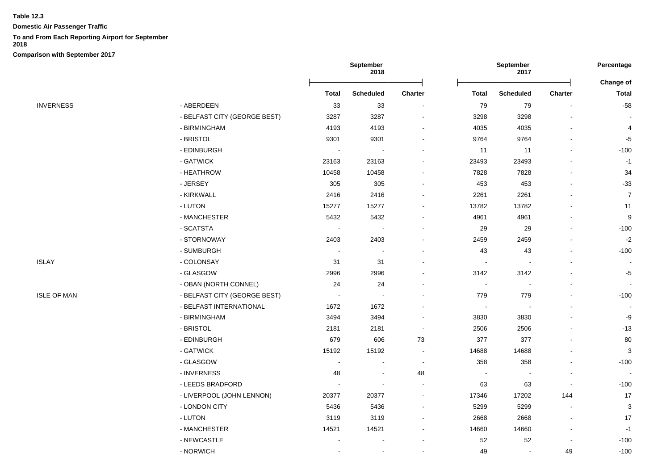**Domestic Air Passenger Traffic**

## **To and From Each Reporting Airport for September**

**2018**

|                    |                              |                          | September<br>2018 |                          |                          | September<br>2017        |                          | Percentage               |
|--------------------|------------------------------|--------------------------|-------------------|--------------------------|--------------------------|--------------------------|--------------------------|--------------------------|
|                    |                              |                          |                   |                          |                          |                          |                          | Change of                |
|                    |                              | <b>Total</b>             | <b>Scheduled</b>  | Charter                  | <b>Total</b>             | <b>Scheduled</b>         | Charter                  | <b>Total</b>             |
| <b>INVERNESS</b>   | - ABERDEEN                   | 33                       | 33                | $\blacksquare$           | 79                       | 79                       |                          | $-58$                    |
|                    | - BELFAST CITY (GEORGE BEST) | 3287                     | 3287              |                          | 3298                     | 3298                     |                          |                          |
|                    | - BIRMINGHAM                 | 4193                     | 4193              |                          | 4035                     | 4035                     |                          | 4                        |
|                    | - BRISTOL                    | 9301                     | 9301              |                          | 9764                     | 9764                     |                          | $-5$                     |
|                    | - EDINBURGH                  | $\blacksquare$           | $\sim$            | ۰                        | 11                       | 11                       |                          | $-100$                   |
|                    | - GATWICK                    | 23163                    | 23163             |                          | 23493                    | 23493                    |                          | $-1$                     |
|                    | - HEATHROW                   | 10458                    | 10458             |                          | 7828                     | 7828                     |                          | 34                       |
|                    | - JERSEY                     | 305                      | 305               |                          | 453                      | 453                      |                          | $-33$                    |
|                    | - KIRKWALL                   | 2416                     | 2416              | ä,                       | 2261                     | 2261                     |                          | $\overline{7}$           |
|                    | - LUTON                      | 15277                    | 15277             | $\blacksquare$           | 13782                    | 13782                    |                          | 11                       |
|                    | - MANCHESTER                 | 5432                     | 5432              | ۰                        | 4961                     | 4961                     |                          | $\boldsymbol{9}$         |
|                    | - SCATSTA                    | $\overline{\phantom{a}}$ |                   |                          | 29                       | 29                       |                          | $-100$                   |
|                    | - STORNOWAY                  | 2403                     | 2403              | $\blacksquare$           | 2459                     | 2459                     |                          | $-2$                     |
|                    | - SUMBURGH                   | $\sim$                   | $\sim$            |                          | 43                       | 43                       |                          | $-100$                   |
| ISLAY              | - COLONSAY                   | 31                       | 31                |                          | $\overline{\phantom{a}}$ | $\overline{\phantom{a}}$ |                          | $\overline{\phantom{a}}$ |
|                    | - GLASGOW                    | 2996                     | 2996              |                          | 3142                     | 3142                     |                          | $-5$                     |
|                    | - OBAN (NORTH CONNEL)        | 24                       | 24                |                          |                          |                          |                          |                          |
| <b>ISLE OF MAN</b> | - BELFAST CITY (GEORGE BEST) | $\overline{\phantom{a}}$ |                   |                          | 779                      | 779                      |                          | $-100$                   |
|                    | - BELFAST INTERNATIONAL      | 1672                     | 1672              |                          | $\blacksquare$           |                          |                          |                          |
|                    | - BIRMINGHAM                 | 3494                     | 3494              |                          | 3830                     | 3830                     |                          | -9                       |
|                    | - BRISTOL                    | 2181                     | 2181              | $\blacksquare$           | 2506                     | 2506                     |                          | $-13$                    |
|                    | - EDINBURGH                  | 679                      | 606               | 73                       | 377                      | 377                      |                          | 80                       |
|                    | - GATWICK                    | 15192                    | 15192             | $\overline{\phantom{a}}$ | 14688                    | 14688                    |                          | 3                        |
|                    | - GLASGOW                    | $\overline{\phantom{a}}$ |                   | $\blacksquare$           | 358                      | 358                      |                          | $-100$                   |
|                    | - INVERNESS                  | 48                       | ä,                | 48                       |                          |                          |                          |                          |
|                    | - LEEDS BRADFORD             | $\overline{a}$           |                   | $\blacksquare$           | 63                       | 63                       |                          | $-100$                   |
|                    | - LIVERPOOL (JOHN LENNON)    | 20377                    | 20377             | $\blacksquare$           | 17346                    | 17202                    | 144                      | $17$                     |
|                    | - LONDON CITY                | 5436                     | 5436              | $\blacksquare$           | 5299                     | 5299                     |                          | $\sqrt{3}$               |
|                    | - LUTON                      | 3119                     | 3119              |                          | 2668                     | 2668                     |                          | 17                       |
|                    | - MANCHESTER                 | 14521                    | 14521             | $\blacksquare$           | 14660                    | 14660                    | $\overline{\phantom{a}}$ | $-1$                     |
|                    | - NEWCASTLE                  |                          |                   |                          | 52                       | 52                       |                          | $-100$                   |
|                    | - NORWICH                    | ÷.                       | $\sim$            |                          | 49                       | $\sim$                   | 49                       | $-100$                   |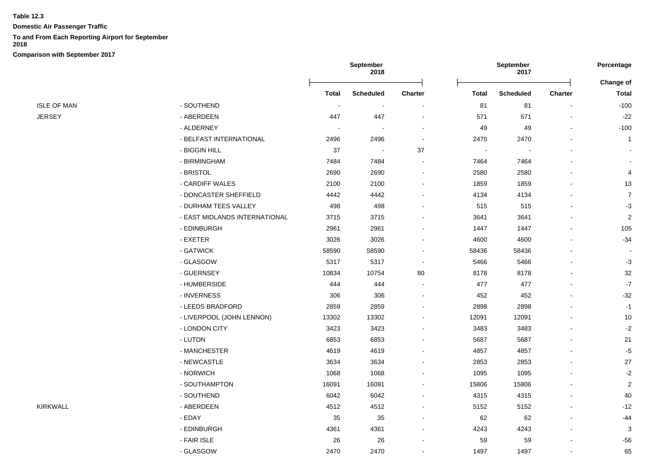**Domestic Air Passenger Traffic**

### **To and From Each Reporting Airport for September**

**2018**

|                    |                               | September<br>2018        |                          | September<br>2017        |              |                  | Percentage               |                           |
|--------------------|-------------------------------|--------------------------|--------------------------|--------------------------|--------------|------------------|--------------------------|---------------------------|
|                    |                               | <b>Total</b>             | <b>Scheduled</b>         | Charter                  | <b>Total</b> | <b>Scheduled</b> | <b>Charter</b>           | Change of<br><b>Total</b> |
| <b>ISLE OF MAN</b> | - SOUTHEND                    | $\overline{\phantom{a}}$ | $\sim$                   | $\blacksquare$           | 81           | 81               | $\overline{\phantom{a}}$ | $-100$                    |
| <b>JERSEY</b>      | - ABERDEEN                    | 447                      | 447                      |                          | 571          | 571              | $\overline{a}$           | $-22$                     |
|                    | - ALDERNEY                    | $\sim$                   | $\overline{\phantom{a}}$ |                          | 49           | 49               |                          | $-100$                    |
|                    | - BELFAST INTERNATIONAL       | 2496                     | 2496                     | $\overline{\phantom{a}}$ | 2470         | 2470             |                          | $\overline{1}$            |
|                    | - BIGGIN HILL                 | 37                       |                          | 37                       |              |                  |                          |                           |
|                    | - BIRMINGHAM                  | 7484                     | 7484                     |                          | 7464         | 7464             |                          |                           |
|                    | - BRISTOL                     | 2690                     | 2690                     |                          | 2580         | 2580             |                          | 4                         |
|                    | - CARDIFF WALES               | 2100                     | 2100                     |                          | 1859         | 1859             |                          | 13                        |
|                    | - DONCASTER SHEFFIELD         | 4442                     | 4442                     |                          | 4134         | 4134             |                          | $\overline{7}$            |
|                    | - DURHAM TEES VALLEY          | 498                      | 498                      |                          | 515          | 515              |                          | $-3$                      |
|                    | - EAST MIDLANDS INTERNATIONAL | 3715                     | 3715                     |                          | 3641         | 3641             |                          | $\overline{c}$            |
|                    | - EDINBURGH                   | 2961                     | 2961                     |                          | 1447         | 1447             |                          | 105                       |
|                    | - EXETER                      | 3026                     | 3026                     |                          | 4600         | 4600             |                          | $-34$                     |
|                    | - GATWICK                     | 58590                    | 58590                    |                          | 58436        | 58436            |                          |                           |
|                    | - GLASGOW                     | 5317                     | 5317                     | ÷,                       | 5466         | 5466             |                          | $-3$                      |
|                    | - GUERNSEY                    | 10834                    | 10754                    | 80                       | 8178         | 8178             |                          | 32                        |
|                    | - HUMBERSIDE                  | 444                      | 444                      | $\blacksquare$           | 477          | 477              |                          | $\textnormal{-}7$         |
|                    | - INVERNESS                   | 306                      | 306                      |                          | 452          | 452              |                          | $-32$                     |
|                    | - LEEDS BRADFORD              | 2859                     | 2859                     |                          | 2898         | 2898             |                          | $-1$                      |
|                    | - LIVERPOOL (JOHN LENNON)     | 13302                    | 13302                    |                          | 12091        | 12091            |                          | $10$                      |
|                    | - LONDON CITY                 | 3423                     | 3423                     |                          | 3483         | 3483             |                          | $-2$                      |
|                    | - LUTON                       | 6853                     | 6853                     |                          | 5687         | 5687             |                          | 21                        |
|                    | - MANCHESTER                  | 4619                     | 4619                     |                          | 4857         | 4857             |                          | $-5$                      |
|                    | - NEWCASTLE                   | 3634                     | 3634                     |                          | 2853         | 2853             |                          | 27                        |
|                    | - NORWICH                     | 1068                     | 1068                     |                          | 1095         | 1095             |                          | $-2$                      |
|                    | - SOUTHAMPTON                 | 16091                    | 16091                    |                          | 15806        | 15806            |                          | $\overline{2}$            |
|                    | - SOUTHEND                    | 6042                     | 6042                     |                          | 4315         | 4315             |                          | 40                        |
| KIRKWALL           | - ABERDEEN                    | 4512                     | 4512                     | $\overline{\phantom{a}}$ | 5152         | 5152             | $\overline{a}$           | $-12$                     |
|                    | - EDAY                        | 35                       | 35                       |                          | 62           | 62               |                          | $-44$                     |
|                    | - EDINBURGH                   | 4361                     | 4361                     |                          | 4243         | 4243             |                          | 3                         |
|                    | - FAIR ISLE                   | 26                       | 26                       |                          | 59           | 59               |                          | $-56$                     |
|                    | - GLASGOW                     | 2470                     | 2470                     |                          | 1497         | 1497             |                          | 65                        |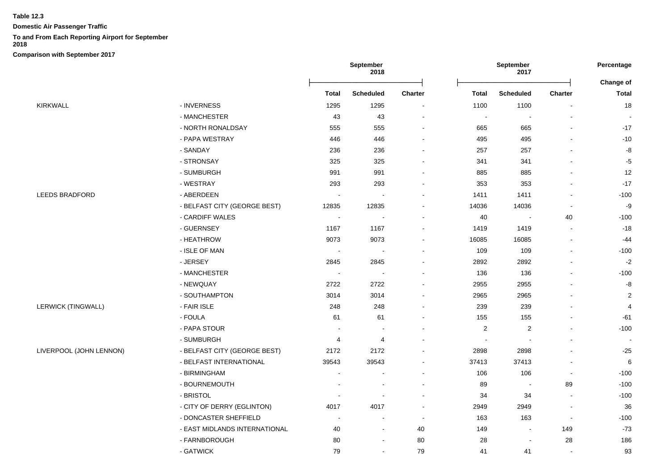**Domestic Air Passenger Traffic**

## **To and From Each Reporting Airport for September**

**2018**

|                           |                               | September<br>2018        |                          | September<br>2017            |              |                  | Percentage               |                                  |
|---------------------------|-------------------------------|--------------------------|--------------------------|------------------------------|--------------|------------------|--------------------------|----------------------------------|
|                           |                               | <b>Total</b>             | <b>Scheduled</b>         | <b>Charter</b>               | <b>Total</b> | <b>Scheduled</b> | <b>Charter</b>           | <b>Change of</b><br><b>Total</b> |
| KIRKWALL                  | - INVERNESS                   | 1295                     | 1295                     |                              | 1100         | 1100             |                          | 18                               |
|                           | - MANCHESTER                  | 43                       | 43                       |                              | $\sim$       | $\blacksquare$   |                          |                                  |
|                           | - NORTH RONALDSAY             | 555                      | 555                      | $\blacksquare$               | 665          | 665              | $\blacksquare$           | $-17$                            |
|                           | - PAPA WESTRAY                | 446                      | 446                      |                              | 495          | 495              |                          | $-10$                            |
|                           | - SANDAY                      | 236                      | 236                      |                              | 257          | 257              | $\overline{a}$           | -8                               |
|                           | - STRONSAY                    | 325                      | 325                      |                              | 341          | 341              |                          | $-5$                             |
|                           | - SUMBURGH                    | 991                      | 991                      |                              | 885          | 885              |                          | 12                               |
|                           | - WESTRAY                     | 293                      | 293                      |                              | 353          | 353              |                          | $-17$                            |
| <b>LEEDS BRADFORD</b>     | - ABERDEEN                    |                          |                          |                              | 1411         | 1411             |                          | $-100$                           |
|                           | - BELFAST CITY (GEORGE BEST)  | 12835                    | 12835                    |                              | 14036        | 14036            |                          | -9                               |
|                           | - CARDIFF WALES               | $\overline{\phantom{a}}$ |                          | $\qquad \qquad \blacksquare$ | 40           | $\blacksquare$   | 40                       | $-100$                           |
|                           | - GUERNSEY                    | 1167                     | 1167                     | $\blacksquare$               | 1419         | 1419             | $\blacksquare$           | $-18$                            |
|                           | - HEATHROW                    | 9073                     | 9073                     |                              | 16085        | 16085            | $\blacksquare$           | $-44$                            |
|                           | - ISLE OF MAN                 | $\sim$                   | $\overline{\phantom{a}}$ | $\blacksquare$               | 109          | 109              | $\blacksquare$           | $-100$                           |
|                           | - JERSEY                      | 2845                     | 2845                     |                              | 2892         | 2892             |                          | $-2$                             |
|                           | - MANCHESTER                  | $\sim$                   | $\overline{\phantom{a}}$ |                              | 136          | 136              | $\overline{a}$           | $-100$                           |
|                           | - NEWQUAY                     | 2722                     | 2722                     |                              | 2955         | 2955             |                          | -8                               |
|                           | - SOUTHAMPTON                 | 3014                     | 3014                     |                              | 2965         | 2965             |                          | $\overline{2}$                   |
| <b>LERWICK (TINGWALL)</b> | - FAIR ISLE                   | 248                      | 248                      |                              | 239          | 239              |                          | $\overline{4}$                   |
|                           | - FOULA                       | 61                       | 61                       |                              | 155          | 155              | $\blacksquare$           | $-61$                            |
|                           | - PAPA STOUR                  |                          | $\overline{a}$           |                              | 2            | $\overline{2}$   | $\blacksquare$           | $-100$                           |
|                           | - SUMBURGH                    | 4                        | 4                        | $\blacksquare$               | $\sim$       | $\sim$           | $\mathbf{r}$             |                                  |
| LIVERPOOL (JOHN LENNON)   | - BELFAST CITY (GEORGE BEST)  | 2172                     | 2172                     | ۰                            | 2898         | 2898             | $\blacksquare$           | $-25$                            |
|                           | - BELFAST INTERNATIONAL       | 39543                    | 39543                    |                              | 37413        | 37413            | $\overline{\phantom{a}}$ | 6                                |
|                           | - BIRMINGHAM                  |                          |                          |                              | 106          | 106              | $\blacksquare$           | $-100$                           |
|                           | - BOURNEMOUTH                 |                          |                          |                              | 89           |                  | 89                       | $-100$                           |
|                           | - BRISTOL                     | $\overline{\phantom{a}}$ | $\overline{\phantom{a}}$ | $\blacksquare$               | 34           | 34               | $\sim$                   | $-100$                           |
|                           | - CITY OF DERRY (EGLINTON)    | 4017                     | 4017                     | $\sim$                       | 2949         | 2949             | $\sim$                   | 36                               |
|                           | - DONCASTER SHEFFIELD         | $\sim$                   | $\blacksquare$           | $\blacksquare$               | 163          | 163              | $\blacksquare$           | $-100$                           |
|                           | - EAST MIDLANDS INTERNATIONAL | 40                       | $\overline{a}$           | 40                           | 149          | $\blacksquare$   | 149                      | $-73$                            |
|                           | - FARNBOROUGH                 | 80                       | $\overline{\phantom{a}}$ | 80                           | 28           | $\blacksquare$   | 28                       | 186                              |
|                           | - GATWICK                     | 79                       | $\blacksquare$           | 79                           | 41           | 41               | $\blacksquare$           | 93                               |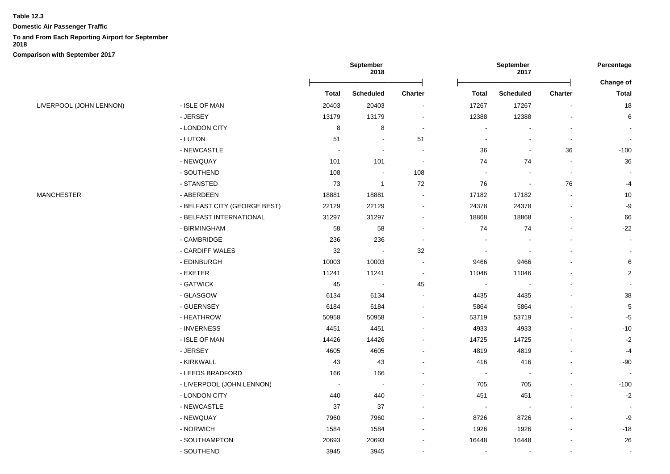**Domestic Air Passenger Traffic**

# **To and From Each Reporting Airport for September**

**2018**

|                         |                              | September<br>2018 |                          |                          | September<br>2017        |                  |                          | Percentage   |
|-------------------------|------------------------------|-------------------|--------------------------|--------------------------|--------------------------|------------------|--------------------------|--------------|
|                         |                              |                   |                          |                          |                          |                  |                          | Change of    |
|                         |                              | <b>Total</b>      | Scheduled                | Charter                  | <b>Total</b>             | <b>Scheduled</b> | Charter                  | <b>Total</b> |
| LIVERPOOL (JOHN LENNON) | - ISLE OF MAN                | 20403             | 20403                    | $\blacksquare$           | 17267                    | 17267            | $\overline{\phantom{a}}$ | 18           |
|                         | - JERSEY                     | 13179             | 13179                    | $\blacksquare$           | 12388                    | 12388            |                          | 6            |
|                         | - LONDON CITY                | 8                 | 8                        | $\blacksquare$           |                          |                  |                          |              |
|                         | - LUTON                      | 51                | $\blacksquare$           | 51                       |                          |                  | $\overline{\phantom{a}}$ |              |
|                         | - NEWCASTLE                  | $\blacksquare$    | $\overline{\phantom{a}}$ | $\blacksquare$           | 36                       | $\blacksquare$   | 36                       | $-100$       |
|                         | - NEWQUAY                    | 101               | 101                      | $\sim$                   | 74                       | 74               | $\sim$                   | 36           |
|                         | - SOUTHEND                   | 108               | $\sim$                   | 108                      | $\sim$                   | $\sim$           | $\sim$                   |              |
|                         | - STANSTED                   | 73                | $\overline{1}$           | 72                       | 76                       | $\blacksquare$   | 76                       | $-4$         |
| MANCHESTER              | - ABERDEEN                   | 18881             | 18881                    |                          | 17182                    | 17182            |                          | $10$         |
|                         | - BELFAST CITY (GEORGE BEST) | 22129             | 22129                    | $\blacksquare$           | 24378                    | 24378            |                          | -9           |
|                         | - BELFAST INTERNATIONAL      | 31297             | 31297                    | $\sim$                   | 18868                    | 18868            | $\blacksquare$           | 66           |
|                         | - BIRMINGHAM                 | 58                | 58                       | ۰                        | 74                       | 74               |                          | $-22$        |
|                         | - CAMBRIDGE                  | 236               | 236                      | $\blacksquare$           |                          |                  |                          |              |
|                         | - CARDIFF WALES              | 32                | $\overline{\phantom{a}}$ | $32\,$                   |                          |                  |                          |              |
|                         | - EDINBURGH                  | 10003             | 10003                    | $\blacksquare$           | 9466                     | 9466             |                          | 6            |
|                         | - EXETER                     | 11241             | 11241                    | $\overline{\phantom{a}}$ | 11046                    | 11046            |                          | $\sqrt{2}$   |
|                         | - GATWICK                    | 45                | $\sim$                   | 45                       | ÷,                       |                  |                          |              |
|                         | - GLASGOW                    | 6134              | 6134                     |                          | 4435                     | 4435             |                          | 38           |
|                         | - GUERNSEY                   | 6184              | 6184                     | $\overline{\phantom{0}}$ | 5864                     | 5864             |                          | $\,$ 5 $\,$  |
|                         | - HEATHROW                   | 50958             | 50958                    |                          | 53719                    | 53719            |                          | $-5$         |
|                         | - INVERNESS                  | 4451              | 4451                     |                          | 4933                     | 4933             |                          | $-10$        |
|                         | - ISLE OF MAN                | 14426             | 14426                    |                          | 14725                    | 14725            |                          | $-2$         |
|                         | - JERSEY                     | 4605              | 4605                     |                          | 4819                     | 4819             |                          | $-4$         |
|                         | - KIRKWALL                   | 43                | 43                       |                          | 416                      | 416              |                          | $-90$        |
|                         | - LEEDS BRADFORD             | 166               | 166                      |                          | $\overline{\phantom{a}}$ | $\blacksquare$   |                          |              |
|                         | - LIVERPOOL (JOHN LENNON)    |                   |                          |                          | 705                      | 705              |                          | $-100$       |
|                         | - LONDON CITY                | 440               | 440                      |                          | 451                      | 451              |                          | $-2$         |
|                         | - NEWCASTLE                  | 37                | 37                       |                          | $\sim$                   | $\blacksquare$   |                          |              |
|                         | - NEWQUAY                    | 7960              | 7960                     | $\blacksquare$           | 8726                     | 8726             |                          | -9           |
|                         | - NORWICH                    | 1584              | 1584                     | ۰                        | 1926                     | 1926             |                          | $-18$        |
|                         | - SOUTHAMPTON                | 20693             | 20693                    |                          | 16448                    | 16448            |                          | 26           |
|                         | - SOUTHEND                   | 3945              | 3945                     | ä,                       | $\blacksquare$           | $\blacksquare$   | $\blacksquare$           | $\sim$       |
|                         |                              |                   |                          |                          |                          |                  |                          |              |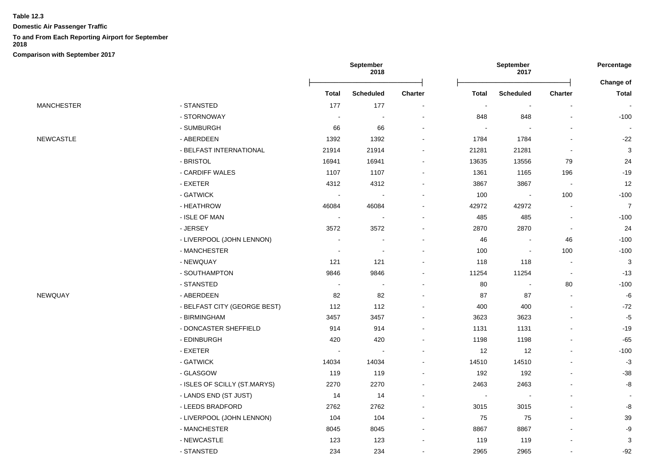**Domestic Air Passenger Traffic**

# **To and From Each Reporting Airport for September**

**2018**

|                   |                              |                          | <b>September</b><br>2018 |                          |                          | <b>September</b><br>2017 |                |                           |
|-------------------|------------------------------|--------------------------|--------------------------|--------------------------|--------------------------|--------------------------|----------------|---------------------------|
|                   |                              | <b>Total</b>             | <b>Scheduled</b>         | Charter                  | <b>Total</b>             | Scheduled                | Charter        | Change of<br><b>Total</b> |
| <b>MANCHESTER</b> | - STANSTED                   | 177                      | 177                      |                          | $\blacksquare$           | $\blacksquare$           |                | $\sim$                    |
|                   | - STORNOWAY                  | $\sim$                   | $\overline{\phantom{a}}$ | $\blacksquare$           | 848                      | 848                      |                | $-100$                    |
|                   | - SUMBURGH                   | 66                       | 66                       | $\overline{\phantom{a}}$ | $\overline{\phantom{a}}$ |                          |                | $\blacksquare$            |
| <b>NEWCASTLE</b>  | - ABERDEEN                   | 1392                     | 1392                     |                          | 1784                     | 1784                     |                | $-22$                     |
|                   | - BELFAST INTERNATIONAL      | 21914                    | 21914                    |                          | 21281                    | 21281                    |                | $\mathbf{3}$              |
|                   | - BRISTOL                    | 16941                    | 16941                    |                          | 13635                    | 13556                    | 79             | 24                        |
|                   | - CARDIFF WALES              | 1107                     | 1107                     |                          | 1361                     | 1165                     | 196            | $-19$                     |
|                   | - EXETER                     | 4312                     | 4312                     |                          | 3867                     | 3867                     | $\blacksquare$ | 12                        |
|                   | - GATWICK                    |                          |                          |                          | 100                      | $\overline{\phantom{a}}$ | 100            | $-100$                    |
|                   | - HEATHROW                   | 46084                    | 46084                    |                          | 42972                    | 42972                    |                | $\overline{7}$            |
|                   | - ISLE OF MAN                | $\sim$                   |                          |                          | 485                      | 485                      | $\blacksquare$ | $-100$                    |
|                   | - JERSEY                     | 3572                     | 3572                     | $\blacksquare$           | 2870                     | 2870                     | $\blacksquare$ | 24                        |
|                   | - LIVERPOOL (JOHN LENNON)    | $\blacksquare$           |                          |                          | 46                       | $\blacksquare$           | 46             | $-100$                    |
|                   | - MANCHESTER                 | $\overline{\phantom{a}}$ | $\overline{\phantom{a}}$ |                          | 100                      | $\overline{\phantom{a}}$ | 100            | $-100$                    |
|                   | - NEWQUAY                    | 121                      | 121                      |                          | 118                      | 118                      | $\blacksquare$ | $\mathbf{3}$              |
|                   | - SOUTHAMPTON                | 9846                     | 9846                     |                          | 11254                    | 11254                    | $\blacksquare$ | $-13$                     |
|                   | - STANSTED                   | $\blacksquare$           | $\blacksquare$           |                          | 80                       | $\blacksquare$           | 80             | $-100$                    |
| NEWQUAY           | - ABERDEEN                   | 82                       | 82                       |                          | 87                       | 87                       |                | $-6$                      |
|                   | - BELFAST CITY (GEORGE BEST) | 112                      | 112                      |                          | 400                      | 400                      |                | $-72$                     |
|                   | - BIRMINGHAM                 | 3457                     | 3457                     |                          | 3623                     | 3623                     |                | $-5$                      |
|                   | - DONCASTER SHEFFIELD        | 914                      | 914                      |                          | 1131                     | 1131                     |                | $-19$                     |
|                   | - EDINBURGH                  | 420                      | 420                      | $\blacksquare$           | 1198                     | 1198                     |                | $-65$                     |
|                   | - EXETER                     | $\blacksquare$           | $\blacksquare$           |                          | 12                       | 12                       |                | $-100$                    |
|                   | - GATWICK                    | 14034                    | 14034                    |                          | 14510                    | 14510                    |                | $-3$                      |
|                   | - GLASGOW                    | 119                      | 119                      |                          | 192                      | 192                      |                | $-38$                     |
|                   | - ISLES OF SCILLY (ST.MARYS) | 2270                     | 2270                     |                          | 2463                     | 2463                     |                | $\mbox{-}8$               |
|                   | - LANDS END (ST JUST)        | 14                       | 14                       |                          | $\sim$                   | $\blacksquare$           |                |                           |
|                   | - LEEDS BRADFORD             | 2762                     | 2762                     | $\blacksquare$           | 3015                     | 3015                     |                | -8                        |
|                   | - LIVERPOOL (JOHN LENNON)    | 104                      | 104                      | $\overline{\phantom{a}}$ | 75                       | 75                       |                | 39                        |
|                   | - MANCHESTER                 | 8045                     | 8045                     | $\blacksquare$           | 8867                     | 8867                     |                | -9                        |
|                   | - NEWCASTLE                  | 123                      | 123                      |                          | 119                      | 119                      |                | 3                         |
|                   | - STANSTED                   | 234                      | 234                      |                          | 2965                     | 2965                     |                | $-92$                     |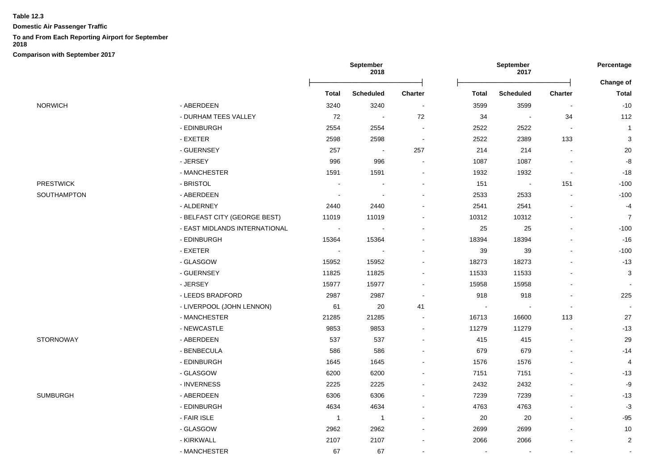**Domestic Air Passenger Traffic**

#### **To and From Each Reporting Airport for September**

**2018**

|                  |                               | September<br>2018        |                  |                | September<br>2017 |                          |                | Percentage                |
|------------------|-------------------------------|--------------------------|------------------|----------------|-------------------|--------------------------|----------------|---------------------------|
|                  |                               | Total                    | <b>Scheduled</b> | <b>Charter</b> | <b>Total</b>      | <b>Scheduled</b>         | <b>Charter</b> | Change of<br><b>Total</b> |
| NORWICH          | - ABERDEEN                    | 3240                     | 3240             |                | 3599              | 3599                     |                | $-10$                     |
|                  | - DURHAM TEES VALLEY          | 72                       | $\sim$           | 72             | 34                | $\blacksquare$           | 34             | 112                       |
|                  | - EDINBURGH                   | 2554                     | 2554             |                | 2522              | 2522                     | $\sim$         | $\overline{1}$            |
|                  | - EXETER                      | 2598                     | 2598             |                | 2522              | 2389                     | 133            | 3                         |
|                  | - GUERNSEY                    | 257                      | $\blacksquare$   | 257            | 214               | 214                      | $\blacksquare$ | $20\,$                    |
|                  | - JERSEY                      | 996                      | 996              |                | 1087              | 1087                     |                | $\textnormal{-}8$         |
|                  | - MANCHESTER                  | 1591                     | 1591             |                | 1932              | 1932                     |                | $-18$                     |
| <b>PRESTWICK</b> | - BRISTOL                     |                          |                  |                | 151               | $\overline{\phantom{a}}$ | 151            | $-100$                    |
| SOUTHAMPTON      | - ABERDEEN                    | $\sim$                   |                  |                | 2533              | 2533                     |                | $-100$                    |
|                  | - ALDERNEY                    | 2440                     | 2440             |                | 2541              | 2541                     |                | $-4$                      |
|                  | - BELFAST CITY (GEORGE BEST)  | 11019                    | 11019            |                | 10312             | 10312                    |                | $\overline{7}$            |
|                  | - EAST MIDLANDS INTERNATIONAL | $\overline{\phantom{a}}$ |                  |                | 25                | 25                       |                | $-100$                    |
|                  | - EDINBURGH                   | 15364                    | 15364            |                | 18394             | 18394                    |                | $-16$                     |
|                  | $-$ EXETER                    | $\sim$                   |                  |                | 39                | 39                       |                | $-100$                    |
|                  | - GLASGOW                     | 15952                    | 15952            |                | 18273             | 18273                    |                | $-13$                     |
|                  | - GUERNSEY                    | 11825                    | 11825            |                | 11533             | 11533                    |                | 3                         |
|                  | - JERSEY                      | 15977                    | 15977            |                | 15958             | 15958                    |                |                           |
|                  | - LEEDS BRADFORD              | 2987                     | 2987             |                | 918               | 918                      |                | 225                       |
|                  | - LIVERPOOL (JOHN LENNON)     | 61                       | 20               | 41             |                   |                          | $\blacksquare$ |                           |
|                  | - MANCHESTER                  | 21285                    | 21285            |                | 16713             | 16600                    | 113            | 27                        |
|                  | - NEWCASTLE                   | 9853                     | 9853             |                | 11279             | 11279                    |                | $-13$                     |
| STORNOWAY        | - ABERDEEN                    | 537                      | 537              |                | 415               | 415                      | ä,             | 29                        |
|                  | - BENBECULA                   | 586                      | 586              |                | 679               | 679                      |                | $-14$                     |
|                  | - EDINBURGH                   | 1645                     | 1645             |                | 1576              | 1576                     |                | $\overline{4}$            |
|                  | - GLASGOW                     | 6200                     | 6200             |                | 7151              | 7151                     |                | $-13$                     |
|                  | - INVERNESS                   | 2225                     | 2225             |                | 2432              | 2432                     |                | $-9$                      |
| SUMBURGH         | - ABERDEEN                    | 6306                     | 6306             |                | 7239              | 7239                     |                | $-13$                     |
|                  | - EDINBURGH                   | 4634                     | 4634             |                | 4763              | 4763                     |                | $-3$                      |
|                  | - FAIR ISLE                   | $\overline{1}$           | $\overline{1}$   |                | 20                | 20                       |                | $-95$                     |
|                  | - GLASGOW                     | 2962                     | 2962             |                | 2699              | 2699                     | $\overline{a}$ | 10                        |
|                  | - KIRKWALL                    | 2107                     | 2107             |                | 2066              | 2066                     |                | $\overline{2}$            |
|                  | - MANCHESTER                  | 67                       | 67               |                |                   |                          | $\sim$         | $\sim$                    |